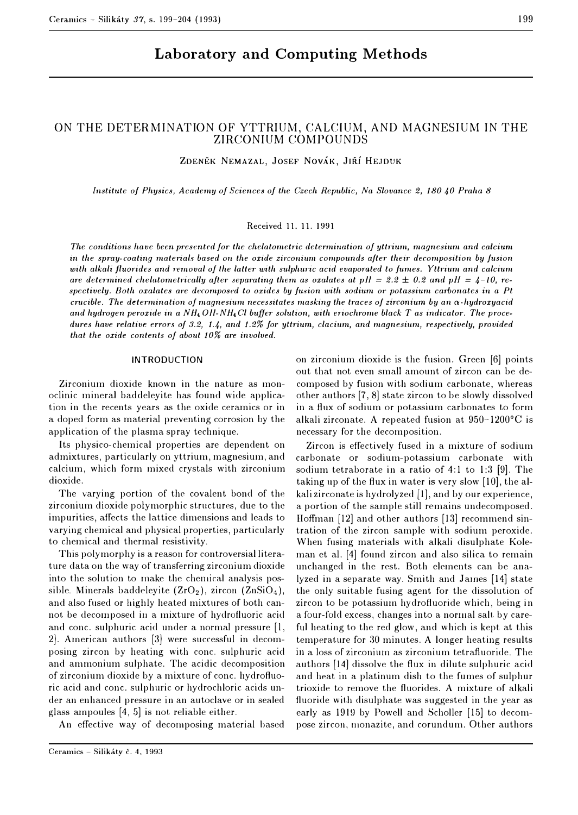# **Laboratory and Computing Methods**

# ON THE DETERMINATION OF YTTRIUM, CALCIUM, AND MAGNESIUM IN THE ZIRCONIUM COMPOUNDS

**ZDENEK NEMAZAL, JOSEF NOVAK, JIRI HE.JDUK** 

*Institute of Physics, Academy of Sciences of the Czech Republic, Na Slovance 2, 180 40 Praha 8* 

## Received 11.11.1991

The conditions have been presented for the chelatometric determination of yttrium, magnesium and calcium in the spray-coating materials based on the oxide zirconium compounds after their decomposition by fusion *with alkali fluorides and removal of the latter with sulphuric acid evaporated to fumes. Yttrium and calcium are determined chelatometrically after separating them as oxalates at pll =*  $2.2 \pm 0.2$  *and pH =*  $4$ *-10, re*spectively. Both oxalates are decomposed to oxides by fusion with sodium or potassium carbonates in a Pt *crucible. The determination of magnesium necessitates masking the traces of* zirconium *by an o:-hydroxyacid*  and hydrogen peroxide in a NH<sub>4</sub> Oll-NH<sub>4</sub> Cl buffer solution, with eriochrome black T as indicator. The proce*dures have relative* errors *of 3.2, 1.4, and 1.2% for* yttrium, *clacium, and magnesium, respectively, provided that the oxide contents of about 10% are involved.* 

#### INTRODUCTION

Zirconium dioxide known in the nature as monoclinic mineral badcleleyite has found wide application in the recents years as the oxide ceramics or in a doped form as material preventing corrosion by the application of the plasma spray technique.

Its physico-chemical properties are dependent on admixtures, particularly on yttrium, magnesium, and calcium, which form mixed crystals with zirconium dioxide.

The varying portion of the covalent bond of the zirconium dioxide polymorphic structures, due to the impurities, affects the lattice dimensions and leads to varying chemical and physical properties, particularly to chemical and thermal resistivity.

This polymorphy is a reason for controversial literature data on the way of transferring zirconium dioxide into the solution to make the chemical analysis possible. Minerals baddeleyite  $(ZrO<sub>2</sub>)$ , zircon  $(ZnSiO<sub>4</sub>)$ , and also fused or highly heated mixtures of both cannot be decomposed in a mixture of hydrofluoric acid and cone. sulphuric acid under a normal pressure [l,  $2$ . American authors  $[3]$  were successful in decomposing zircon by heating with cone. sulphuric acid and ammonium sulphate. The acidic decomposition of zirconium dioxide by a mixture of cone. hydrofluoric acid and cone. sulphuric or hydrochloric acids under an enhanced pressure in an autoclave or in sealed glass ampoules  $[4, 5]$  is not reliable either.

An effective way of decornposing material based

on zirconium dioxide is the fusion. Green (6] points out that not even small amount of zircon can be decomposed by fusion with sodium carbonate, whereas other authors [7, 8] state zircon to be slowly dissolved in a flux of sodium or potassium carbonates to form alkali zirconate. A repeated fusion at 950-1200°C is necessary for the decomposition.

Zircon is effectively fused in a mixture of sodium carbonate or sodium-potassium carbonate with sodium tetraborate in a ratio of  $4:1$  to  $1:3$  [9]. The taking up of the flux in water is very slow [10], the alkali zirconate is hydrolyzed [1], and by our experience, a portion of the sample still remains undecomposed. Hoffman (12] and other authors [13] recommend sintration of the zircon sample with sodium peroxide. When fusing materials with alkali disulphate Koleman et al. (4] found zircon and also silica to remain unchanged in the rest. Both elements can be analyzed in a separate way. Smith and James [14] state the only suitable fusing agent for the dissolution of zircon to be potassium hydrofluoride which, being in a four-fold excess, changes into a normal salt by careful heating to the red glow, and which is kept at this temperature for 30 minutes. A longer heating results in a loss of zirconiurn as zirconium tetrafluoride. The authors [14] dissolve the flux in dilute sulphuric acid and heat in a platinum dish to the fumes of sulphur trioxide to remove the fluorides. A mixture of alkali fluoride with disulphate was suggested in the year as early as 1919 by Powell and Scholler [15] to decompose zircon, rnonazite, and corundum. Other authors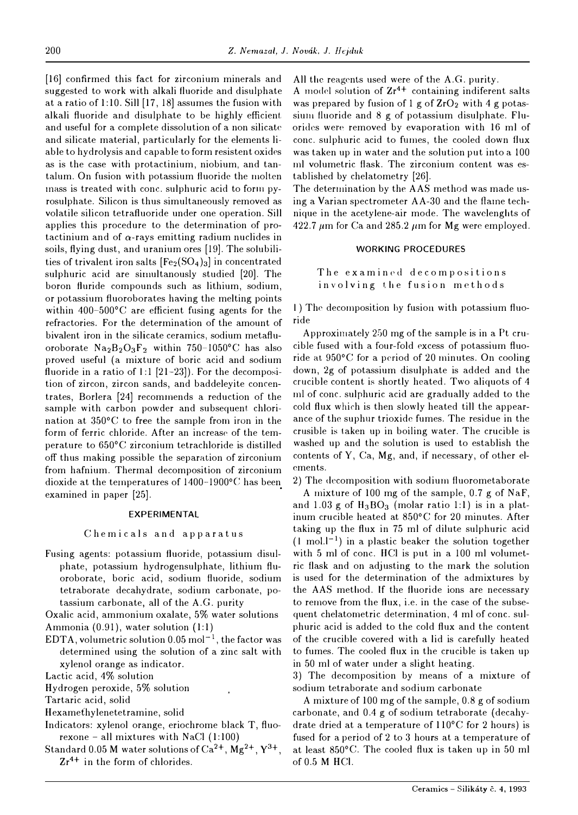[16] confirmed this fact for zirconium minerals and suggested to work with alkali fluoride and disulphate at a ratio of 1:10. Sill [17, 18] assumes the fusion with alkali fluoride and disulphate to be highly efficient and useful for a complete dissolution of a non silicate and silicate material, particularly for the elements liable to hydrolysis and capable to form resistent oxides as is the case with protactinium, niobium, and tantalum. On fusion with potassium fluoride the molten mass is treated with cone. sulphuric acid to form pyrosulphate. Silicon is thus simultaneously removed as volatile silicon tetrafluoride under one operation. Sill applies this procedure to the determination of protactinium and of  $\alpha$ -rays emitting radium nuclides in soils, flying dust, and uranium ores [19]. The solubilities of trivalent iron salts  $[Fe<sub>2</sub>(SO<sub>4</sub>)<sub>3</sub>]$  in concentrated sulphuric acid are simultanously studied [20]. The boron fluride compounds such as lithium, sodium, or potassium fluoroborates having the melting points within 400-500°C are efficient fusing agents for the refractories. For the determination of the amount of bivalent iron in the silicate ceramics, sodium metafluoroborate  $Na<sub>2</sub>B<sub>2</sub>O<sub>3</sub>F<sub>2</sub>$  within 750-1050°C has also proved useful (a mixture of boric acid and sodium fluoride in a ratio of 1:1 [21-23]). For the decomposition of zircon, zircon sands, and baddeleyite concentrates, Borlera [24] recomrnends a reduction of the sample with carbon powder and subsequent. chlorination at  $350^{\circ}$ C to free the sample from iron in the form of ferric chloride. After an increase of the temperature to 650°C zirconium tetrachloride is distilled off thus making possible the separation of zirconium from hafnium. Thermal decomposition of zirconium dioxide at the temperatures of 1400-1900°C has been examined in paper [25].

#### **EXPERIMENTAL**

#### Chemicals and apparatus

Fusing agents: potassium fluoride, potassium disulphate, potassium hydrogensulphate, lithium fluoroborate, boric acid, sodium fluoride, sodium tetraborate decahydrate, sodium carbonate, potassium carbonate, all of the A.G. purity

Oxalic acid, ammonium oxalate, 5% water solutions Ammonia (0.91), water solution (1:1)

EDTA, volumetric solution  $0.05$  mol<sup>-1</sup>, the factor was determined using the solution of a zinc salt with xylenol orange as indicator.

Lactic acid, 4% solution

Hydrogen peroxide, 5% solution

Tartaric acid, solid

Hexamethylenetetramine, solid

- Indicators: xylenol orange, eriochrome black T, fluorexone - all mixtures with NaCl  $(1:100)$
- Standard 0.05 M water solutions of  $Ca^{2+}$ ,  $Mg^{2+}$ ,  $Y^{3+}$ ,  $Zr^{4+}$  in the form of chlorides.

All the reagents used were of the A.G. purity.

A model solution of  $Zr^{4+}$  containing indiferent salts was prepared by fusion of 1 g of  $ZrO<sub>2</sub>$  with 4 g potassium fluoride and  $8 \text{ g}$  of potassium disulphate. Fluorides were removed by evaporation with 16 ml of cone. sulphuric acid to fumes, the cooled down flux was taken up in water and the solution put into a 100 ml volumetric flask. The zirconium content was established by chelatometry [26].

The determination by the AAS method was made using a Varian spectrometer AA-30 and the flame technique in the acetylene-air mode. The wavelenghts of 422.7  $\mu$ m for Ca and 285.2  $\mu$ m for Mg were employed.

## **WORKING** PROCEDURES

The examined decompositions involving the fusion methods

l) The decomposition by fusion with potassium fluoride

Approximately 250 mg of the sample is in a Pt crucible fused with a four-fold excess of potassium fluoride at  $950^{\circ}$ C for a period of 20 minutes. On cooling down, 2g of potassium disulphate is added and the crucible content is shortly heated. Two aliquots of 4 ml of cone. sulphuric acid are gradually added to the cold flux whirh is then slowly heated till the appearance of the suphur trioxide fumes. The residue in the crusible is taken up in boiling water. The crucible is washed up and the solution is used to establish the contents of Y, Ca, Mg, and, if necessary, of other elements.

2) The decomposition with sodium fluorometaborate

A mixture of 100 mg of the sample, 0.7 g of NaF, and 1.03 g of  $H_3BO_3$  (molar ratio 1:1) is in a platinum crucible heated at 850°C for 20 minutes. After taking up the flux in 75 ml of dilute sulphuric acid  $(1 \text{ mol.}1^{-1})$  in a plastic beaker the solution together with 5 ml of cone. HCl is put in a 100 ml volumetric flask and on adjusting to the mark the solution is used for the determination of the admixtures by the AAS method. If the fluoride ions are necessary to remove from the flux, i.e. in the case of the subsequent chelatornetric determination, 4 ml of cone. sulphuric acid is added to the cold flux and the content of the crucible covered with a lid is carefully heated to fumes. The cooled flux in the crucible is taken up in 50 ml of water under a slight heating.

3) The decomposition by means of a mixture of sodium tetraborate and sodium carbonate

A mixture of 100 mg of the sample, 0.8 g of sodium carbonate, and 0.4 g of sodium tetraborate ( decahydrate dried at a temperature of 110°C for 2 hours) is fused for a period of 2 to 3 hours at a temperature of at least 850°C. The cooled flux is taken up in 50 ml of 0.5 M HCI.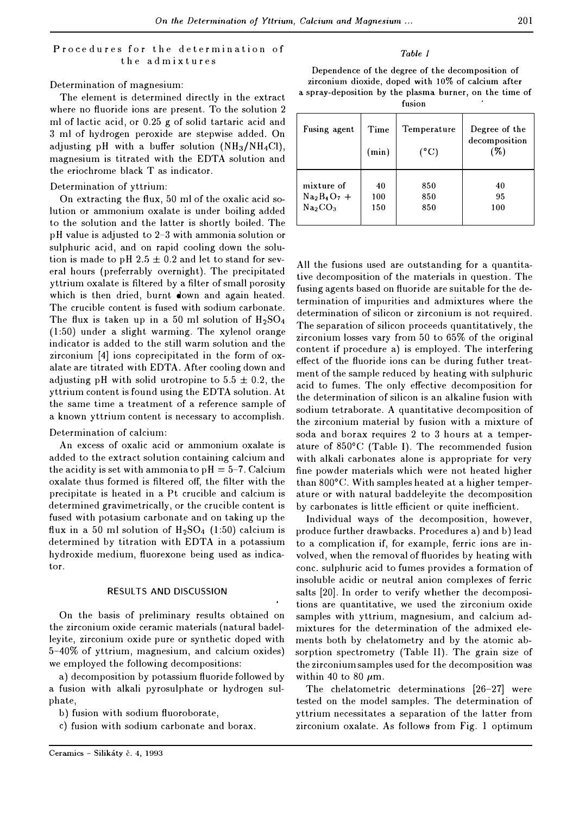## Procedures for the determination of the admixtures

## Determination of magnesium:

The element is determined directly in the extract where no fluoride ions are present. To the solution 2 ml of lactic acid, or 0.25 g of solid tartaric acid and 3 ml of hydrogen peroxide are stepwise added. On adjusting pH with a buffer solution  $(NH_3/NH_4Cl)$ , magnesium is titrated with the EDTA solution and the eriochrome black T as indicator.

Determination of yttrium:

On extracting the flux, 50 ml of the oxalic acid solution or ammonium oxalate is under boiling added to the solution and the latter is shortly boiled. The pH value is adjusted to 2-3 with ammonia solution or sulphuric acid, and on rapid cooling down the solution is made to pH 2.5  $\pm$  0.2 and let to stand for several hours (preferrably overnight). The precipitated yttrium oxalate is filtered by a filter of small porosity which is then dried, burnt down and again heated. The crucible content is fused with sodium carbonate. The flux is taken up in a 50 ml solution of  $H_2SO_4$  $(1:50)$  under a slight warming. The xylenol orange indicator is added to the still warm solution and the zirconium (4] ions coprecipitated in the form of oxalate are titrated with EDTA. After cooling down and adjusting pH with solid urotropine to  $5.5 \pm 0.2$ , the yttrium content is found using the EDTA solution. At the same time a treatment of a reference sample of a known yttrium content is necessary to accomplish.

#### Determination of calcium:

An excess of oxalic acid or ammonium oxalate is added to the extract solution containing calcium and the acidity is set with ammonia to  $\nu$ H = 5-7. Calcium oxalate thus formed is filtered off, the filter with the precipitate is heated in a Pt crucible and calcium is determined gravimetrically, or the crucible content is fused with potasium carbonate and on taking up the flux in a 50 ml solution of  $H_2SO_4$  (1:50) calcium is determined by titration with EDTA in a potassium hydroxide medium, fluorexone being used as indicator.

#### RESULTS AND DISCUSSION

On the basis of preliminary results obtained on the zirconium oxide ceramic materials (natural badelleyite, zirconium oxide pure or synthetic doped with 5-40% of yttrium, magnesium, and calcium oxides) we employed the following decompositions:

a) decomposition by potassium fluoride followed by a fusion with alkali pyrosulphate or hydrogen sulphate,

b) fusion with sodium fluoroborate,

c) fusion with sodium carbonate and borax.

## *Table I*

Dependence of the degree of the decomposition of zirconium dioxide, doped with 10% of calcium after a spray-deposition by the plasma burner, on the time of

fusion

| Fusing agent                    | Time<br>(min) | Temperature<br>$(^{\circ}C)$ | Degree of the<br>decomposition<br>$(\%)$ |
|---------------------------------|---------------|------------------------------|------------------------------------------|
| mixture of                      | 40            | 850                          | 40                                       |
| $Na2B4O7 +$                     | 100           | 850                          | 95                                       |
| Na <sub>2</sub> CO <sub>3</sub> | 150           | 850                          | 100                                      |

All the fusions used are outstanding for a quantitative decomposition of the materials in question. The fusing agents based on fluoride are suitable for the determination of impurities and admixtures where the determination of silicon or zirconium is not required. The separation of silicon proceeds quantitatively, the zirconium losses vary from 50 to 65% of the original content if procedure a) is employed. The interfering effect of the fluoride ions can be during futher treatment of the sample reduced by heating with sulphuric acid to fumes. The only effective decomposition for the determination of silicon is an alkaline fusion with sodium tetraborate. A quantitative decomposition of the zirconium material by fusion with a mixture of soda and borax requires 2 to 3 hours at a temperature of 850°C (Table 1). The recommended fusion with alkali carbonates alone is appropriate for very fine powder materials which were not heated higher than 800°C. With samples heated at a higher temperature or with natural baddeleyite the decomposition by carbonates is little efficient or quite inefficient.

Individual ways of the decomposition, however, produce further drawbacks. Procedures a) and b) lead to a complication if, for example, ferric ions are involved, when the removal of fluorides by heating with cone. sulphuric acid to fumes provides a formation of insoluble acidic or neutral anion complexes of ferric salts [20]. In order to verify whether the decompositions are quantitative, we used the zirconium oxide samples with yttrium, magnesium, and calcium admixtures for the determination of the admixed elements both by chelatometry and by the atomic absorption spectrometry (Table II). The grain size of the zirconium samples used for the decomposition was within 40 to 80  $\mu$ m.

The chelatometric determinations (26-27] were tested on the model samples. The determination of yttrium necessitates a separation of the latter from zirconium oxalate. As follows from Fig. 1 optimum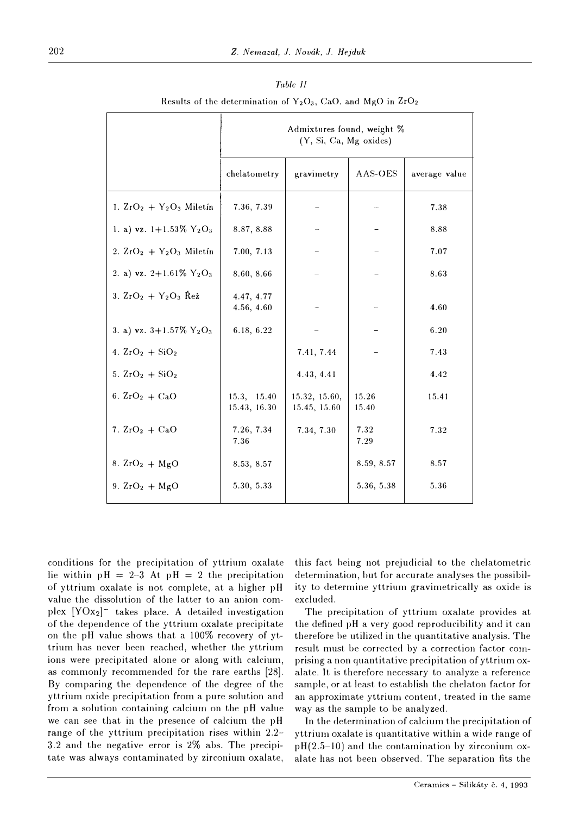|                                                    | Admixtures found, weight %<br>(Y, Si, Ca, Mg oxides) |                               |                |               |  |  |
|----------------------------------------------------|------------------------------------------------------|-------------------------------|----------------|---------------|--|--|
|                                                    | chelatometry                                         | gravimetry                    | AAS-OES        | average value |  |  |
| 1. $ZrO2 + Y2O3$ Miletín                           | 7.36, 7.39                                           |                               |                | 7.38          |  |  |
| 1. a) vz. $1+1.53\%$ Y <sub>2</sub> O <sub>3</sub> | 8.87, 8.88                                           |                               |                | 8.88          |  |  |
| 2. $ZrO2 + Y2O3$ Miletín                           | 7.00, 7.13                                           |                               |                | 7.07          |  |  |
| 2. a) vz. 2+1.61% $Y_2O_3$                         | 8.60, 8.66                                           |                               |                | 8.63          |  |  |
| 3. $ZrO_2 + Y_2O_3$ Rez                            | 4.47, 4.77<br>4.56, 4.60                             |                               |                | 4.60          |  |  |
| 3. a) vz. $3+1.57\%$ Y <sub>2</sub> O <sub>3</sub> | 6.18, 6.22                                           |                               |                | 6.20          |  |  |
| 4. $ZrO_2 + SiO_2$                                 |                                                      | 7.41, 7.44                    |                | 7.43          |  |  |
| 5. $2rO_2 + SiO_2$                                 |                                                      | 4.43, 4.41                    |                | 4.42          |  |  |
| 6. $ZrO_2 + CaO$                                   | 15.3, 15.40<br>15.43, 16.30                          | 15.32, 15.60,<br>15.45, 15.60 | 15.26<br>15.40 | 15.41         |  |  |
| 7. $ZrO_2 + CaO$                                   | 7.26, 7.34<br>7.36                                   | 7.34, 7.30                    | 7.32<br>7.29   | 7.32          |  |  |
| 8. $ZrO_2 + MgO$                                   | 8.53, 8.57                                           |                               | 8.59, 8.57     | 8.57          |  |  |
| 9. $ZrO_2 + MgO$                                   | 5.30, 5.33                                           |                               | 5.36, 5.38     | 5.36          |  |  |

| Table II |                                                                    |  |  |  |  |  |  |  |
|----------|--------------------------------------------------------------------|--|--|--|--|--|--|--|
|          | Results of the determination of $Y_2O_3$ , CaO, and MgO in $ZrO_2$ |  |  |  |  |  |  |  |

conditions for the precipitation of yttrium oxalate lie within  $pH = 2-3$  At  $pH = 2$  the precipitation of yttrium oxalate is not complete, at a higher pH value the dissolution of the latter to an anion complex  $[YOx_2]^-$  takes place. A detailed investigation of the dependence of the yttrium oxalate precipitate on the pH value shows that a 100% recovery of yttrium has never been reached, whether the yttrium ions were precipitated alone or along with calcium, as commonly recommended for the rare earths [28]. By comparing the dependence of the degree of the yttrium oxide precipitation from a pure solution and from a solution containing calcium on the pH value we can see that in the presence of calcium the pH range of the yttrium precipitation rises within 2.2- 3.2 and the negative error is 2% abs. The precipitate was always contaminated by zirconium oxalate,

this fact being not prejudicial to the chelatometric determination, hut for accurate analyses the possibility to determine yttrium gravimetrically as oxide is excluded.

The precipitation of yttrium oxalate provides at the defined pH a very good reproducibility and it can therefore he utilized in the quantitative analysis. The result must be corrected by a correction factor comprising a non quantitative precipitation of yttrium oxalate. It is therefore necessary to analyze a reference sample, or at least to establish the chelaton factor for an approximate yttrium content., treated in the same way as the sample to be analyzed.

In the determination of calcium the precipitation of yttrium oxalate is quantitative within a wide range of  $pH(2.5-10)$  and the contamination by zirconium oxalate has not been observed. The separation fits the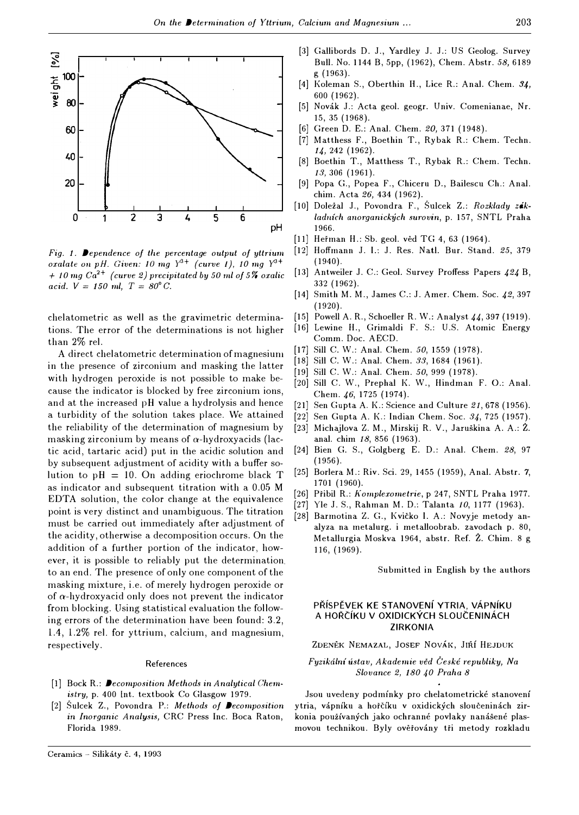

*Fig. 1. Dependence of the percentage output of yttrium oxalate on pH. Given: 10 mg Y<sup>3+</sup> (curve 1), 10 mg Y<sup>3+</sup>*  $+$  *10 mg Ca*<sup>2+</sup> *(curve 2) precipitated by 50 ml of 5% oxalic acid.*  $V = 150$  *ml,*  $T = 80^{\circ}$  *G.* 

chelatometric as well as the gravimetric determinations. The error of the determinations is not higher than 2% rel.

A direct chelatometric determination of magnesiuru in the presence of zirconium and masking the latter with hydrogen peroxide is not possible to make because the indicator is blocked by free zirconium ions, and at the increased pH value a hydrolysis and hence a turbidity of the solution takes place. We attained the reliability of the determination of magnesium by masking zirconium by means of  $\alpha$ -hydroxyacids (lactic acid, tartaric acid) put in the acidic solution and by subsequent adjustment of acidity with a buffer solution to  $pH = 10$ . On adding eriochrome black T as indicator and subsequent titration with a 0.05 M EDTA solution, the color change at the equivalence point is very distinct and unambiguous. The titration must be carried out immediately after adjustment of the acidity, otherwise a decomposition occurs. On the addition of a further portion of the indicator, however, it is possible to reliably put the determination. to an end. The presence of only one component of the masking mixture, i.e. of merely hydrogen peroxide or of  $\alpha$ -hydroxyacid only does not prevent the indicator from blocking. Using statistical evaluation the following errors of the determination have been found: 3.2, 1.4, 1.2% rel. for yttrium, calcium, and magnesium, respectively.

#### References

- [l) Bock R.: *Decomposition Methods in Analytical Chemistry,* p. 400 Int. textbook Co Glasgow 1979.
- [2) Sulcek Z., Povondra **P.:** *Methods of Decomposition*  in *Inorganic Analysis,* CRC Press Inc. Boca Raton, Florida 1989.
- [3) Gallibords D. J., Yardley J. J.: US Geolog. Survey Bull. No. 1144 B, 5pp, (1962), Chem. Abstr. *58,* 6189 g (1963).
- [4) Koleman S., Oberthin If., Lice R.: Anal. Chem. *34,*  600 (1962).
- [5) Novak J.: Acta geol. geogr. Univ. Comenianae, Nr. 15, 35 (1968).
- (6) Green D. E.: Anal. Chem. *20,* 371 (1948).
- [7) Matthess F., Boethin T., Rybak R.: Chem. Techn. *14,242* (1962).
- [8) Boethin T., Matthess T., Rybak R.: Chem. Techn. *13,306* (1961).
- [9) Popa G., Popea F., Chiceru D., Bailescu Ch.: Anal. chim. Acta *26,434* (1962).
- [10) Dolezal J., Povondra F., Sulcek Z.: *Rozklady zaklad11frh cmorganickych surovin,* p. 157, SNTL Praha pH 1966.
	- [11] Heřman H.: Sb. geol. věd TG 4, 63 (1964).
	- [12) Hoffmann J. I.: J. Res. Natl. Bur. Stand. *25,* 379 (1940).
	- [13) Antweiler J. C.: Geo!. Survey Proffess Papers *424* B, 332 (1962).
	- [14) Smith M. M., James C.: J. Amer. Chem. Soc. *42,* 397 (1920).
	- [15] Powell A. R., Schoeller R. W.: Analyst *44,397* (1919).
	- [16] Lewine H., Grimaldi F. S.: U.S. Atomic Energy Comm. Doc. AECD.
	- [17] Sill C. W.: Anal. Chem. *50,* 1559 (1978).
	- [18] Sill C. W.: Anal. Chem. *33,* 1684 (1961).
	- [19) Sill C. W.: Anal. Chem. *50,* 999 (1978).
	- [20) Sill C. W., Prephal K. W., Hindman F. 0.: Anal. Chem. *46,* 1725 (1974).
	- [21) Sen Gupta A. K.: Science and Culture *21,678* (1956).
	- [22) Sen Gupta A. K.: Indian Chem. Soc. *34,* 725 (1957).
	- [23) Michajlova Z. M., Mirskij R. V., Jaruskina A. A.: Z. anal. chim *18,* 856 (1963).
	- [24] Bien G. S., Golgberg E. D.: Anal. Chem. *28,* 97 (1956).
	- [25] Borlera M.: Riv. Sci. 29, 1455 (1959), Anal. Abstr. 7, 1701 (1960).
	- [26] Pfibil R.: *Komplexometrie,* p 247, SNTL Praha 1977.
	- [27) Vie J. S., Rahman M. D.: Talanta *10,* 1177 (1963).
	- [28] Barmotina Z. G., Kvičko I. A.: Novyje metody analyza na metalurg. i metalloobrab. zavodach p. 80, Metallurgia Moskva 1964, abstr. Ref. Z. Chim. 8 g 116, (1969),

Submitted in English by the authors

#### PRISPEVEK **KE STANOVENf YTRIA, VAPNIKU A HORC:IKU V OXIDICKYCH SLOUC:ENINACH ZIRKONIA**

ZDENĚK NEMAZAL, JOSEF NOVÁK, JIŘÍ HEJDUK

## *Fyzikcilni ustav, Akademie ved C'eske republiky, Na Slovance 2, 180 40 Praha 8*

Jsou uvedeny podmínky pro chelatometrické stanovení ytria, vápníku a hořčíku v oxidických sloučeninách zirkonia používaných jako ochranné povlaky nanášené plasmovou technikou. Byly ověřovány tři metody rozkladu